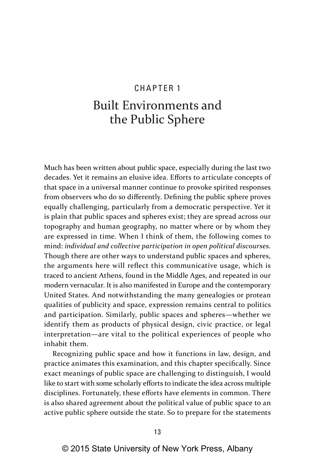## CHAPTER 1

# Built Environments and the Public Sphere

Much has been written about public space, especially during the last two decades. Yet it remains an elusive idea. Efforts to articulate concepts of that space in a universal manner continue to provoke spirited responses from observers who do so differently. Defining the public sphere proves equally challenging, particularly from a democratic perspective. Yet it is plain that public spaces and spheres exist; they are spread across our topography and human geography, no matter where or by whom they are expressed in time. When I think of them, the following comes to mind: *individual and collective participation in open political discourses*. Though there are other ways to understand public spaces and spheres, the arguments here will reflect this communicative usage, which is traced to ancient Athens, found in the Middle Ages, and repeated in our modern vernacular. It is also manifested in Europe and the contemporary United States. And notwithstanding the many genealogies or protean qualities of publicity and space, expression remains central to politics and participation. Similarly, public spaces and spheres—whether we identify them as products of physical design, civic practice, or legal interpretation—are vital to the political experiences of people who inhabit them.

Recognizing public space and how it functions in law, design, and practice animates this examination, and this chapter specifically. Since exact meanings of public space are challenging to distinguish, I would like to start with some scholarly efforts to indicate the idea across multiple disciplines. Fortunately, these efforts have elements in common. There is also shared agreement about the political value of public space to an active public sphere outside the state. So to prepare for the statements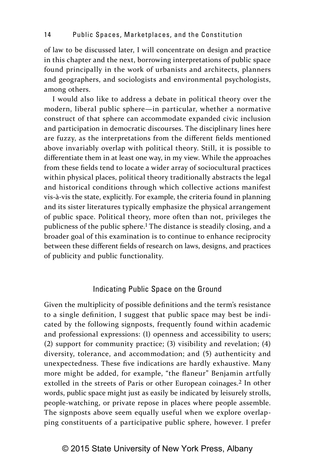of law to be discussed later, I will concentrate on design and practice in this chapter and the next, borrowing interpretations of public space found principally in the work of urbanists and architects, planners and geographers, and sociologists and environmental psychologists, among others.

I would also like to address a debate in political theory over the modern, liberal public sphere—in particular, whether a normative construct of that sphere can accommodate expanded civic inclusion and participation in democratic discourses. The disciplinary lines here are fuzzy, as the interpretations from the different fields mentioned above invariably overlap with political theory. Still, it is possible to differentiate them in at least one way, in my view. While the approaches from these fields tend to locate a wider array of sociocultural practices within physical places, political theory traditionally abstracts the legal and historical conditions through which collective actions manifest vis-à-vis the state, explicitly. For example, the criteria found in planning and its sister literatures typically emphasize the physical arrangement of public space. Political theory, more often than not, privileges the publicness of the public sphere.<sup>1</sup> The distance is steadily closing, and a broader goal of this examination is to continue to enhance reciprocity between these different fields of research on laws, designs, and practices of publicity and public functionality.

## Indicating Public Space on the Ground

Given the multiplicity of possible definitions and the term's resistance to a single definition, I suggest that public space may best be indicated by the following signposts, frequently found within academic and professional expressions: (1) openness and accessibility to users; (2) support for community practice; (3) visibility and revelation; (4) diversity, tolerance, and accommodation; and (5) authenticity and unexpectedness. These five indications are hardly exhaustive. Many more might be added, for example, "the flaneur" Benjamin artfully extolled in the streets of Paris or other European coinages.<sup>2</sup> In other words, public space might just as easily be indicated by leisurely strolls, people-watching, or private repose in places where people assemble. The signposts above seem equally useful when we explore overlapping constituents of a participative public sphere, however. I prefer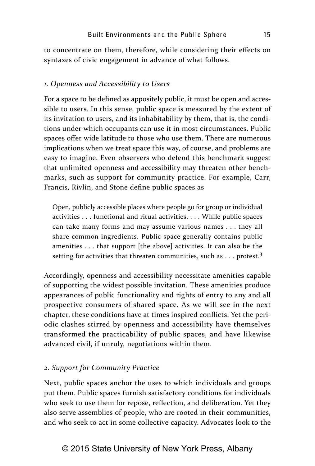to concentrate on them, therefore, while considering their effects on syntaxes of civic engagement in advance of what follows.

## *1. Openness and Accessibility to Users*

For a space to be defined as appositely public, it must be open and accessible to users. In this sense, public space is measured by the extent of its invitation to users, and its inhabitability by them, that is, the conditions under which occupants can use it in most circumstances. Public spaces offer wide latitude to those who use them. There are numerous implications when we treat space this way, of course, and problems are easy to imagine. Even observers who defend this benchmark suggest that unlimited openness and accessibility may threaten other benchmarks, such as support for community practice. For example, Carr, Francis, Rivlin, and Stone define public spaces as

Open, publicly accessible places where people go for group or individual activities . . . functional and ritual activities. . . . While public spaces can take many forms and may assume various names . . . they all share common ingredients. Public space generally contains public amenities . . . that support [the above] activities. It can also be the setting for activities that threaten communities, such as . . . protest.<sup>3</sup>

Accordingly, openness and accessibility necessitate amenities capable of supporting the widest possible invitation. These amenities produce appearances of public functionality and rights of entry to any and all prospective consumers of shared space. As we will see in the next chapter, these conditions have at times inspired conflicts. Yet the periodic clashes stirred by openness and accessibility have themselves transformed the practicability of public spaces, and have likewise advanced civil, if unruly, negotiations within them.

## *2. Support for Community Practice*

Next, public spaces anchor the uses to which individuals and groups put them. Public spaces furnish satisfactory conditions for individuals who seek to use them for repose, reflection, and deliberation. Yet they also serve assemblies of people, who are rooted in their communities, and who seek to act in some collective capacity. Advocates look to the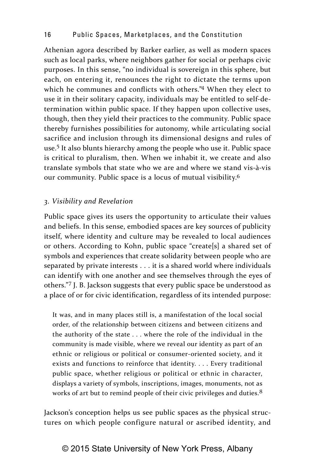Athenian agora described by Barker earlier, as well as modern spaces such as local parks, where neighbors gather for social or perhaps civic purposes. In this sense, "no individual is sovereign in this sphere, but each, on entering it, renounces the right to dictate the terms upon which he communes and conflicts with others."4 When they elect to use it in their solitary capacity, individuals may be entitled to self-determination within public space. If they happen upon collective uses, though, then they yield their practices to the community. Public space thereby furnishes possibilities for autonomy, while articulating social sacrifice and inclusion through its dimensional designs and rules of use.<sup>5</sup> It also blunts hierarchy among the people who use it. Public space is critical to pluralism, then. When we inhabit it, we create and also translate symbols that state who we are and where we stand vis-à-vis our community. Public space is a locus of mutual visibility.<sup>6</sup>

## *3. Visibility and Revelation*

Public space gives its users the opportunity to articulate their values and beliefs. In this sense, embodied spaces are key sources of publicity itself, where identity and culture may be revealed to local audiences or others. According to Kohn, public space "create[s] a shared set of symbols and experiences that create solidarity between people who are separated by private interests . . . it is a shared world where individuals can identify with one another and see themselves through the eyes of others."<sup>7</sup> J. B. Jackson suggests that every public space be understood as a place of or for civic identification, regardless of its intended purpose:

It was, and in many places still is, a manifestation of the local social order, of the relationship between citizens and between citizens and the authority of the state . . . where the role of the individual in the community is made visible, where we reveal our identity as part of an ethnic or religious or political or consumer-oriented society, and it exists and functions to reinforce that identity. . . . Every traditional public space, whether religious or political or ethnic in character, displays a variety of symbols, inscriptions, images, monuments, not as works of art but to remind people of their civic privileges and duties.<sup>8</sup>

Jackson's conception helps us see public spaces as the physical structures on which people configure natural or ascribed identity, and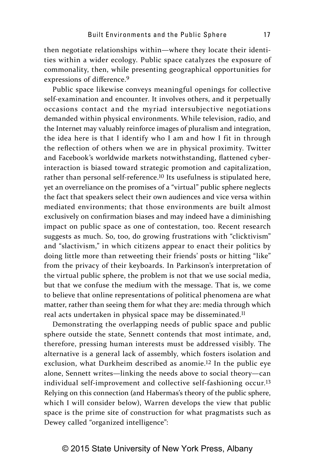then negotiate relationships within—where they locate their identities within a wider ecology. Public space catalyzes the exposure of commonality, then, while presenting geographical opportunities for expressions of difference.<sup>9</sup>

Public space likewise conveys meaningful openings for collective self-examination and encounter. It involves others, and it perpetually occasions contact and the myriad intersubjective negotiations demanded within physical environments. While television, radio, and the Internet may valuably reinforce images of pluralism and integration, the idea here is that I identify who I am and how I fit in through the reflection of others when we are in physical proximity. Twitter and Facebook's worldwide markets notwithstanding, flattened cyberinteraction is biased toward strategic promotion and capitalization, rather than personal self-reference.<sup>10</sup> Its usefulness is stipulated here, yet an overreliance on the promises of a "virtual" public sphere neglects the fact that speakers select their own audiences and vice versa within mediated environments; that those environments are built almost exclusively on confirmation biases and may indeed have a diminishing impact on public space as one of contestation, too. Recent research suggests as much. So, too, do growing frustrations with "clicktivism" and "slactivism," in which citizens appear to enact their politics by doing little more than retweeting their friends' posts or hitting "like" from the privacy of their keyboards. In Parkinson's interpretation of the virtual public sphere, the problem is not that we use social media, but that we confuse the medium with the message. That is, we come to believe that online representations of political phenomena are what matter, rather than seeing them for what they are: media through which real acts undertaken in physical space may be disseminated.<sup>11</sup>

Demonstrating the overlapping needs of public space and public sphere outside the state, Sennett contends that most intimate, and, therefore, pressing human interests must be addressed visibly. The alternative is a general lack of assembly, which fosters isolation and exclusion, what Durkheim described as anomie.<sup>12</sup> In the public eye alone, Sennett writes—linking the needs above to social theory—can individual self-improvement and collective self-fashioning occur.<sup>13</sup> Relying on this connection (and Habermas's theory of the public sphere, which I will consider below), Warren develops the view that public space is the prime site of construction for what pragmatists such as Dewey called "organized intelligence":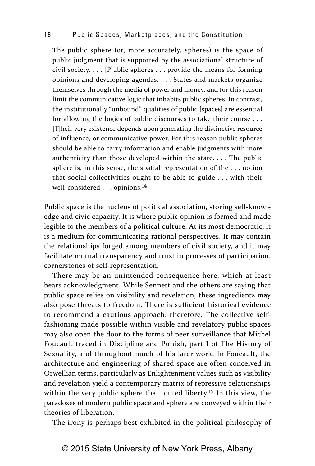The public sphere (or, more accurately, spheres) is the space of public judgment that is supported by the associational structure of civil society. . . . [P]ublic spheres . . . provide the means for forming opinions and developing agendas. . . . States and markets organize themselves through the media of power and money, and for this reason limit the communicative logic that inhabits public spheres. In contrast, the institutionally "unbound" qualities of public [spaces] are essential for allowing the logics of public discourses to take their course . . . [T]heir very existence depends upon generating the distinctive resource of influence, or communicative power. For this reason public spheres should be able to carry information and enable judgments with more authenticity than those developed within the state. . . . The public sphere is, in this sense, the spatial representation of the . . . notion that social collectivities ought to be able to guide . . . with their well-considered . . . opinions.<sup>14</sup>

Public space is the nucleus of political association, storing self-knowledge and civic capacity. It is where public opinion is formed and made legible to the members of a political culture. At its most democratic, it is a medium for communicating rational perspectives. It may contain the relationships forged among members of civil society, and it may facilitate mutual transparency and trust in processes of participation, cornerstones of self-representation.

There may be an unintended consequence here, which at least bears acknowledgment. While Sennett and the others are saying that public space relies on visibility and revelation, these ingredients may also pose threats to freedom. There is sufficient historical evidence to recommend a cautious approach, therefore. The collective selffashioning made possible within visible and revelatory public spaces may also open the door to the forms of peer surveillance that Michel Foucault traced in Discipline and Punish, part 1 of The History of Sexuality, and throughout much of his later work. In Foucault, the architecture and engineering of shared space are often conceived in Orwellian terms, particularly as Enlightenment values such as visibility and revelation yield a contemporary matrix of repressive relationships within the very public sphere that touted liberty.<sup>15</sup> In this view, the paradoxes of modern public space and sphere are conveyed within their theories of liberation.

The irony is perhaps best exhibited in the political philosophy of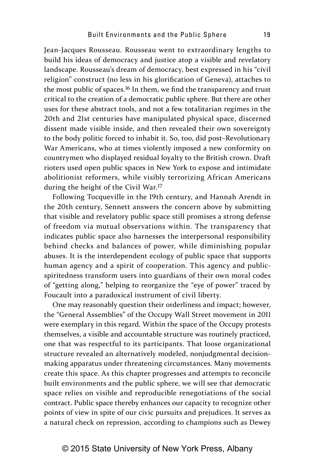Jean-Jacques Rousseau. Rousseau went to extraordinary lengths to build his ideas of democracy and justice atop a visible and revelatory landscape. Rousseau's dream of democracy, best expressed in his "civil religion" construct (no less in his glorification of Geneva), attaches to the most public of spaces.<sup>16</sup> In them, we find the transparency and trust critical to the creation of a democratic public sphere. But there are other uses for these abstract tools, and not a few totalitarian regimes in the 20th and 21st centuries have manipulated physical space, discerned dissent made visible inside, and then revealed their own sovereignty to the body politic forced to inhabit it. So, too, did post-Revolutionary War Americans, who at times violently imposed a new conformity on countrymen who displayed residual loyalty to the British crown. Draft rioters used open public spaces in New York to expose and intimidate abolitionist reformers, while visibly terrorizing African Americans during the height of the Civil War.<sup>17</sup>

Following Tocqueville in the 19th century, and Hannah Arendt in the 20th century, Sennett answers the concern above by submitting that visible and revelatory public space still promises a strong defense of freedom via mutual observations within. The transparency that indicates public space also harnesses the interpersonal responsibility behind checks and balances of power, while diminishing popular abuses. It is the interdependent ecology of public space that supports human agency and a spirit of cooperation. This agency and publicspiritedness transform users into guardians of their own moral codes of "getting along," helping to reorganize the "eye of power" traced by Foucault into a paradoxical instrument of civil liberty.

One may reasonably question their orderliness and impact; however, the "General Assemblies" of the Occupy Wall Street movement in 2011 were exemplary in this regard. Within the space of the Occupy protests themselves, a visible and accountable structure was routinely practiced, one that was respectful to its participants. That loose organizational structure revealed an alternatively modeled, nonjudgmental decisionmaking apparatus under threatening circumstances. Many movements create this space. As this chapter progresses and attempts to reconcile built environments and the public sphere, we will see that democratic space relies on visible and reproducible renegotiations of the social contract. Public space thereby enhances our capacity to recognize other points of view in spite of our civic pursuits and prejudices. It serves as a natural check on repression, according to champions such as Dewey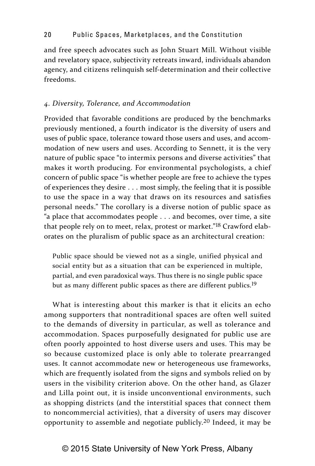and free speech advocates such as John Stuart Mill. Without visible and revelatory space, subjectivity retreats inward, individuals abandon agency, and citizens relinquish self-determination and their collective freedoms.

## *4. Diversity, Tolerance, and Accommodation*

Provided that favorable conditions are produced by the benchmarks previously mentioned, a fourth indicator is the diversity of users and uses of public space, tolerance toward those users and uses, and accommodation of new users and uses. According to Sennett, it is the very nature of public space "to intermix persons and diverse activities" that makes it worth producing. For environmental psychologists, a chief concern of public space "is whether people are free to achieve the types of experiences they desire . . . most simply, the feeling that it is possible to use the space in a way that draws on its resources and satisfies personal needs." The corollary is a diverse notion of public space as "a place that accommodates people . . . and becomes, over time, a site that people rely on to meet, relax, protest or market."<sup>18</sup> Crawford elaborates on the pluralism of public space as an architectural creation:

Public space should be viewed not as a single, unified physical and social entity but as a situation that can be experienced in multiple, partial, and even paradoxical ways. Thus there is no single public space but as many different public spaces as there are different publics.<sup>19</sup>

What is interesting about this marker is that it elicits an echo among supporters that nontraditional spaces are often well suited to the demands of diversity in particular, as well as tolerance and accommodation. Spaces purposefully designated for public use are often poorly appointed to host diverse users and uses. This may be so because customized place is only able to tolerate prearranged uses. It cannot accommodate new or heterogeneous use frameworks, which are frequently isolated from the signs and symbols relied on by users in the visibility criterion above. On the other hand, as Glazer and Lilla point out, it is inside unconventional environments, such as shopping districts (and the interstitial spaces that connect them to noncommercial activities), that a diversity of users may discover opportunity to assemble and negotiate publicly.<sup>20</sup> Indeed, it may be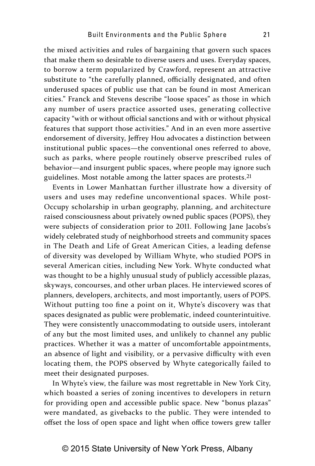the mixed activities and rules of bargaining that govern such spaces that make them so desirable to diverse users and uses. Everyday spaces, to borrow a term popularized by Crawford, represent an attractive substitute to "the carefully planned, officially designated, and often underused spaces of public use that can be found in most American cities." Franck and Stevens describe "loose spaces" as those in which any number of users practice assorted uses, generating collective capacity "with or without official sanctions and with or without physical features that support those activities." And in an even more assertive endorsement of diversity, Jeffrey Hou advocates a distinction between institutional public spaces—the conventional ones referred to above, such as parks, where people routinely observe prescribed rules of behavior—and insurgent public spaces, where people may ignore such guidelines. Most notable among the latter spaces are protests.<sup>21</sup>

Events in Lower Manhattan further illustrate how a diversity of users and uses may redefine unconventional spaces. While post-Occupy scholarship in urban geography, planning, and architecture raised consciousness about privately owned public spaces (POPS), they were subjects of consideration prior to 2011. Following Jane Jacobs's widely celebrated study of neighborhood streets and community spaces in The Death and Life of Great American Cities, a leading defense of diversity was developed by William Whyte, who studied POPS in several American cities, including New York. Whyte conducted what was thought to be a highly unusual study of publicly accessible plazas, skyways, concourses, and other urban places. He interviewed scores of planners, developers, architects, and most importantly, users of POPS. Without putting too fine a point on it, Whyte's discovery was that spaces designated as public were problematic, indeed counterintuitive. They were consistently unaccommodating to outside users, intolerant of any but the most limited uses, and unlikely to channel any public practices. Whether it was a matter of uncomfortable appointments, an absence of light and visibility, or a pervasive difficulty with even locating them, the POPS observed by Whyte categorically failed to meet their designated purposes.

In Whyte's view, the failure was most regrettable in New York City, which boasted a series of zoning incentives to developers in return for providing open and accessible public space. New "bonus plazas" were mandated, as givebacks to the public. They were intended to offset the loss of open space and light when office towers grew taller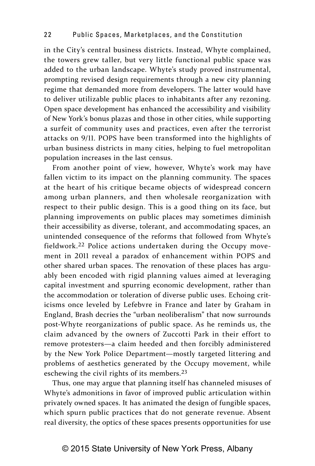in the City's central business districts. Instead, Whyte complained, the towers grew taller, but very little functional public space was added to the urban landscape. Whyte's study proved instrumental, prompting revised design requirements through a new city planning regime that demanded more from developers. The latter would have to deliver utilizable public places to inhabitants after any rezoning. Open space development has enhanced the accessibility and visibility of New York's bonus plazas and those in other cities, while supporting a surfeit of community uses and practices, even after the terrorist attacks on 9/11. POPS have been transformed into the highlights of urban business districts in many cities, helping to fuel metropolitan population increases in the last census.

From another point of view, however, Whyte's work may have fallen victim to its impact on the planning community. The spaces at the heart of his critique became objects of widespread concern among urban planners, and then wholesale reorganization with respect to their public design. This is a good thing on its face, but planning improvements on public places may sometimes diminish their accessibility as diverse, tolerant, and accommodating spaces, an unintended consequence of the reforms that followed from Whyte's fieldwork.<sup>22</sup> Police actions undertaken during the Occupy movement in 2011 reveal a paradox of enhancement within POPS and other shared urban spaces. The renovation of these places has arguably been encoded with rigid planning values aimed at leveraging capital investment and spurring economic development, rather than the accommodation or toleration of diverse public uses. Echoing criticisms once leveled by Lefebvre in France and later by Graham in England, Brash decries the "urban neoliberalism" that now surrounds post-Whyte reorganizations of public space. As he reminds us, the claim advanced by the owners of Zuccotti Park in their effort to remove protesters—a claim heeded and then forcibly administered by the New York Police Department—mostly targeted littering and problems of aesthetics generated by the Occupy movement, while eschewing the civil rights of its members.<sup>23</sup>

Thus, one may argue that planning itself has channeled misuses of Whyte's admonitions in favor of improved public articulation within privately owned spaces. It has animated the design of fungible spaces, which spurn public practices that do not generate revenue. Absent real diversity, the optics of these spaces presents opportunities for use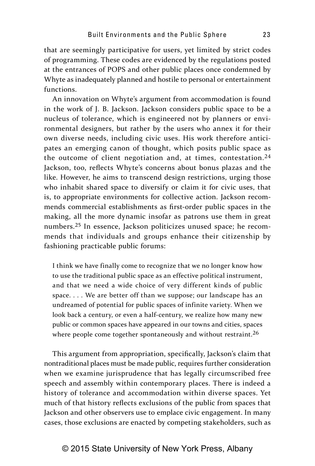that are seemingly participative for users, yet limited by strict codes of programming. These codes are evidenced by the regulations posted at the entrances of POPS and other public places once condemned by Whyte as inadequately planned and hostile to personal or entertainment functions.

An innovation on Whyte's argument from accommodation is found in the work of J. B. Jackson. Jackson considers public space to be a nucleus of tolerance, which is engineered not by planners or environmental designers, but rather by the users who annex it for their own diverse needs, including civic uses. His work therefore anticipates an emerging canon of thought, which posits public space as the outcome of client negotiation and, at times, contestation. $24$ Jackson, too, reflects Whyte's concerns about bonus plazas and the like. However, he aims to transcend design restrictions, urging those who inhabit shared space to diversify or claim it for civic uses, that is, to appropriate environments for collective action. Jackson recom mends commercial establishments as first-order public spaces in the making, all the more dynamic insofar as patrons use them in great numbers.<sup>25</sup> In essence, Jackson politicizes unused space; he recommends that individuals and groups enhance their citizenship by fashioning practicable public forums:

I think we have finally come to recognize that we no longer know how to use the traditional public space as an effective political instrument, and that we need a wide choice of very different kinds of public space. . . . We are better off than we suppose; our landscape has an undreamed of potential for public spaces of infinite variety. When we look back a century, or even a half-century, we realize how many new public or common spaces have appeared in our towns and cities, spaces where people come together spontaneously and without restraint.<sup>26</sup>

This argument from appropriation, specifically, Jackson's claim that nontraditional places must be made public, requires further consideration when we examine jurisprudence that has legally circumscribed free speech and assembly within contemporary places. There is indeed a history of tolerance and accommodation within diverse spaces. Yet much of that history reflects exclusions of the public from spaces that Jackson and other observers use to emplace civic engagement. In many cases, those exclusions are enacted by competing stakeholders, such as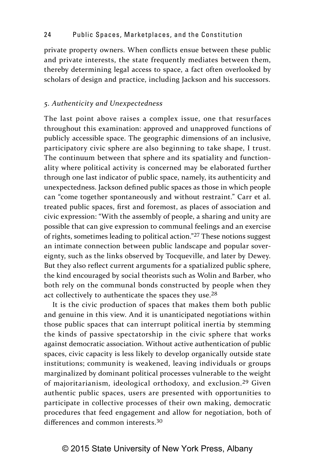private property owners. When conflicts ensue between these public and private interests, the state frequently mediates between them, thereby determining legal access to space, a fact often overlooked by scholars of design and practice, including Jackson and his successors.

### *5. Authenticity and Unexpectedness*

The last point above raises a complex issue, one that resurfaces throughout this examination: approved and unapproved functions of publicly accessible space. The geographic dimensions of an inclusive, participatory civic sphere are also beginning to take shape, I trust. The continuum between that sphere and its spatiality and functionality where political activity is concerned may be elaborated further through one last indicator of public space, namely, its authenticity and unexpectedness. Jackson defined public spaces as those in which people can "come together spontaneously and without restraint." Carr et al. treated public spaces, first and foremost, as places of association and civic expression: "With the assembly of people, a sharing and unity are possible that can give expression to communal feelings and an exercise of rights, sometimes leading to political action."<sup>27</sup> These notions suggest an intimate connection between public landscape and popular sovereignty, such as the links observed by Tocqueville, and later by Dewey. But they also reflect current arguments for a spatialized public sphere, the kind encouraged by social theorists such as Wolin and Barber, who both rely on the communal bonds constructed by people when they act collectively to authenticate the spaces they use.<sup>28</sup>

It is the civic production of spaces that makes them both public and genuine in this view. And it is unanticipated negotiations within those public spaces that can interrupt political inertia by stemming the kinds of passive spectatorship in the civic sphere that works against democratic association. Without active authentication of public spaces, civic capacity is less likely to develop organically outside state institutions; community is weakened, leaving individuals or groups marginalized by dominant political processes vulnerable to the weight of majoritarianism, ideological orthodoxy, and exclusion.<sup>29</sup> Given authentic public spaces, users are presented with opportunities to participate in collective processes of their own making, democratic procedures that feed engagement and allow for negotiation, both of differences and common interests 30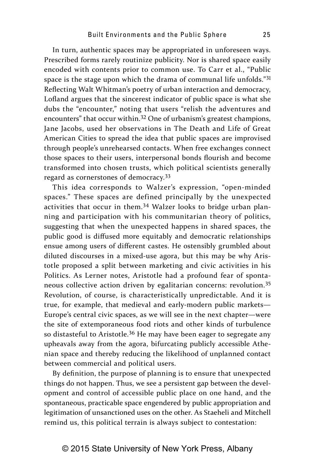In turn, authentic spaces may be appropriated in unforeseen ways. Prescribed forms rarely routinize publicity. Nor is shared space easily encoded with contents prior to common use. To Carr et al., "Public space is the stage upon which the drama of communal life unfolds."31 Reflecting Walt Whitman's poetry of urban interaction and democracy, Lofland argues that the sincerest indicator of public space is what she dubs the "encounter," noting that users "relish the adventures and encounters" that occur within.<sup>32</sup> One of urbanism's greatest champions, Jane Jacobs, used her observations in The Death and Life of Great American Cities to spread the idea that public spaces are improvised through people's unrehearsed contacts. When free exchanges connect those spaces to their users, interpersonal bonds flourish and become transformed into chosen trusts, which political scientists generally regard as cornerstones of democracy.<sup>33</sup>

This idea corresponds to Walzer's expression, "open-minded spaces." These spaces are defined principally by the unexpected activities that occur in them.<sup>34</sup> Walzer looks to bridge urban planning and participation with his communitarian theory of politics, suggesting that when the unexpected happens in shared spaces, the public good is diffused more equitably and democratic relationships ensue among users of different castes. He ostensibly grumbled about diluted discourses in a mixed-use agora, but this may be why Aristotle proposed a split between marketing and civic activities in his Politics. As Lerner notes, Aristotle had a profound fear of spontaneous collective action driven by egalitarian concerns: revolution.<sup>35</sup> Revolution, of course, is characteristically unpredictable. And it is true, for example, that medieval and early-modern public markets— Europe's central civic spaces, as we will see in the next chapter—were the site of extemporaneous food riots and other kinds of turbulence so distasteful to Aristotle.<sup>36</sup> He may have been eager to segregate any upheavals away from the agora, bifurcating publicly accessible Athenian space and thereby reducing the likelihood of unplanned contact between commercial and political users.

By definition, the purpose of planning is to ensure that unexpected things do not happen. Thus, we see a persistent gap between the development and control of accessible public place on one hand, and the spontaneous, practicable space engendered by public appropriation and legitimation of unsanctioned uses on the other. As Staeheli and Mitchell remind us, this political terrain is always subject to contestation: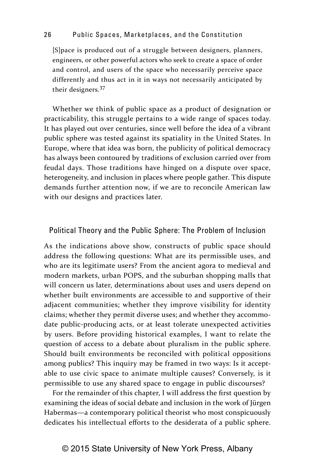[S]pace is produced out of a struggle between designers, planners, engineers, or other powerful actors who seek to create a space of order and control, and users of the space who necessarily perceive space differently and thus act in it in ways not necessarily anticipated by their designers.<sup>37</sup>

Whether we think of public space as a product of designation or practicability, this struggle pertains to a wide range of spaces today. It has played out over centuries, since well before the idea of a vibrant public sphere was tested against its spatiality in the United States. In Europe, where that idea was born, the publicity of political democracy has always been contoured by traditions of exclusion carried over from feudal days. Those traditions have hinged on a dispute over space, heterogeneity, and inclusion in places where people gather. This dispute demands further attention now, if we are to reconcile American law with our designs and practices later.

### Political Theory and the Public Sphere: The Problem of Inclusion

As the indications above show, constructs of public space should address the following questions: What are its permissible uses, and who are its legitimate users? From the ancient agora to medieval and modern markets, urban POPS, and the suburban shopping malls that will concern us later, determinations about uses and users depend on whether built environments are accessible to and supportive of their adjacent communities; whether they improve visibility for identity claims; whether they permit diverse uses; and whether they accommodate public-producing acts, or at least tolerate unexpected activities by users. Before providing historical examples, I want to relate the question of access to a debate about pluralism in the public sphere. Should built environments be reconciled with political oppositions among publics? This inquiry may be framed in two ways: Is it acceptable to use civic space to animate multiple causes? Conversely, is it permissible to use any shared space to engage in public discourses?

For the remainder of this chapter, I will address the first question by examining the ideas of social debate and inclusion in the work of Jürgen Habermas—a contemporary political theorist who most conspicuously dedicates his intellectual efforts to the desiderata of a public sphere.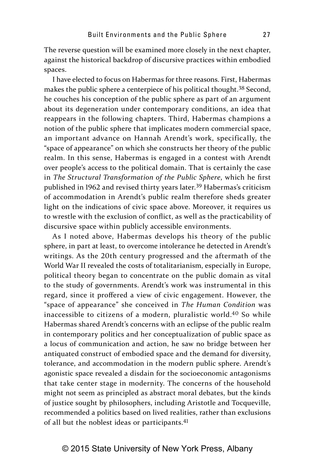The reverse question will be examined more closely in the next chapter, against the historical backdrop of discursive practices within embodied spaces.

I have elected to focus on Habermas for three reasons. First, Habermas makes the public sphere a centerpiece of his political thought.<sup>38</sup> Second, he couches his conception of the public sphere as part of an argument about its degeneration under contemporary conditions, an idea that reappears in the following chapters. Third, Habermas champions a notion of the public sphere that implicates modern commercial space, an important advance on Hannah Arendt's work, specifically, the "space of appearance" on which she constructs her theory of the public realm. In this sense, Habermas is engaged in a contest with Arendt over people's access to the political domain. That is certainly the case in *The Structural Transformation of the Public Sphere*, which he first published in 1962 and revised thirty years later.<sup>39</sup> Habermas's criticism of accommodation in Arendt's public realm therefore sheds greater light on the indications of civic space above. Moreover, it requires us to wrestle with the exclusion of conflict, as well as the practicability of discursive space within publicly accessible environments.

As I noted above, Habermas develops his theory of the public sphere, in part at least, to overcome intolerance he detected in Arendt's writings. As the 20th century progressed and the aftermath of the World War II revealed the costs of totalitarianism, especially in Europe, political theory began to concentrate on the public domain as vital to the study of governments. Arendt's work was instrumental in this regard, since it proffered a view of civic engagement. However, the "space of appearance" she conceived in *The Human Condition* was inaccessible to citizens of a modern, pluralistic world.<sup>40</sup> So while Habermas shared Arendt's concerns with an eclipse of the public realm in contemporary politics and her conceptualization of public space as a locus of communication and action, he saw no bridge between her antiquated construct of embodied space and the demand for diversity, tolerance, and accommodation in the modern public sphere. Arendt's agonistic space revealed a disdain for the socioeconomic antagonisms that take center stage in modernity. The concerns of the household might not seem as principled as abstract moral debates, but the kinds of justice sought by philosophers, including Aristotle and Tocqueville, recommended a politics based on lived realities, rather than exclusions of all but the noblest ideas or participants.<sup>41</sup>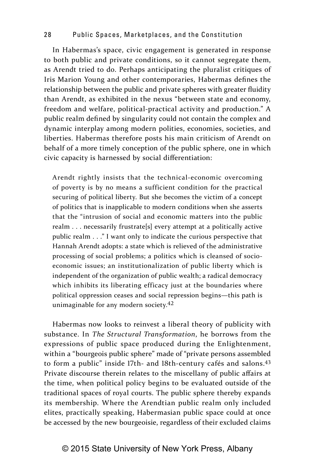In Habermas's space, civic engagement is generated in response to both public and private conditions, so it cannot segregate them, as Arendt tried to do. Perhaps anticipating the pluralist critiques of Iris Marion Young and other contemporaries, Habermas defines the relationship between the public and private spheres with greater fluidity than Arendt, as exhibited in the nexus "between state and economy, freedom and welfare, political-practical activity and production." A public realm defined by singularity could not contain the complex and dynamic interplay among modern polities, economies, societies, and liberties. Habermas therefore posts his main criticism of Arendt on behalf of a more timely conception of the public sphere, one in which civic capacity is harnessed by social differentiation:

Arendt rightly insists that the technical-economic overcoming of poverty is by no means a sufficient condition for the practical securing of political liberty. But she becomes the victim of a concept of politics that is inapplicable to modern conditions when she asserts that the "intrusion of social and economic matters into the public realm . . . necessarily frustrate[s] every attempt at a politically active public realm . . ." I want only to indicate the curious perspective that Hannah Arendt adopts: a state which is relieved of the administrative processing of social problems; a politics which is cleansed of socioeconomic issues; an institutionalization of public liberty which is independent of the organization of public wealth; a radical democracy which inhibits its liberating efficacy just at the boundaries where political oppression ceases and social repression begins—this path is unimaginable for any modern society. $42$ 

Habermas now looks to reinvest a liberal theory of publicity with substance. In *The Structural Transformation*, he borrows from the expressions of public space produced during the Enlightenment, within a "bourgeois public sphere" made of "private persons assembled to form a public" inside 17th- and 18th-century cafés and salons.<sup>43</sup> Private discourse therein relates to the miscellany of public affairs at the time, when political policy begins to be evaluated outside of the traditional spaces of royal courts. The public sphere thereby expands its membership. Where the Arendtian public realm only included elites, practically speaking, Habermasian public space could at once be accessed by the new bourgeoisie, regardless of their excluded claims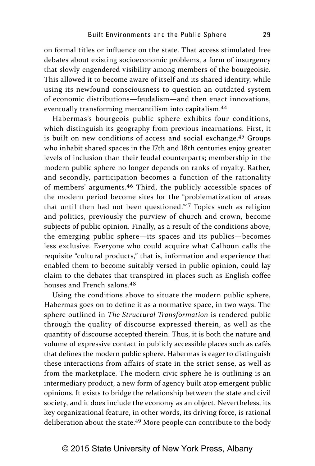on formal titles or influence on the state. That access stimulated free debates about existing socioeconomic problems, a form of insurgency that slowly engendered visibility among members of the bourgeoisie. This allowed it to become aware of itself and its shared identity, while using its newfound consciousness to question an outdated system of economic distributions—feudalism—and then enact innovations, eventually transforming mercantilism into capitalism.<sup>44</sup>

Habermas's bourgeois public sphere exhibits four conditions, which distinguish its geography from previous incarnations. First, it is built on new conditions of access and social exchange.<sup>45</sup> Groups who inhabit shared spaces in the 17th and 18th centuries enjoy greater levels of inclusion than their feudal counterparts; membership in the modern public sphere no longer depends on ranks of royalty. Rather, and secondly, participation becomes a function of the rationality of members' arguments.<sup>46</sup> Third, the publicly accessible spaces of the modern period become sites for the "problematization of areas that until then had not been questioned."47 Topics such as religion and politics, previously the purview of church and crown, become subjects of public opinion. Finally, as a result of the conditions above, the emerging public sphere—its spaces and its publics—becomes less exclusive. Everyone who could acquire what Calhoun calls the requisite "cultural products," that is, information and experience that enabled them to become suitably versed in public opinion, could lay claim to the debates that transpired in places such as English coffee houses and French salons.<sup>48</sup>

Using the conditions above to situate the modern public sphere, Habermas goes on to define it as a normative space, in two ways. The sphere outlined in *The Structural Transformation* is rendered public through the quality of discourse expressed therein, as well as the quantity of discourse accepted therein. Thus, it is both the nature and volume of expressive contact in publicly accessible places such as cafés that defines the modern public sphere. Habermas is eager to distinguish these interactions from affairs of state in the strict sense, as well as from the marketplace. The modern civic sphere he is outlining is an intermediary product, a new form of agency built atop emergent public opinions. It exists to bridge the relationship between the state and civil society, and it does include the economy as an object. Nevertheless, its key organizational feature, in other words, its driving force, is rational deliberation about the state.<sup>49</sup> More people can contribute to the body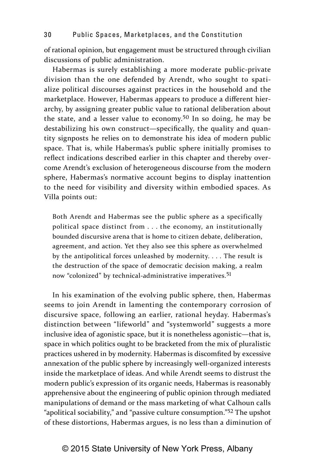of rational opinion, but engagement must be structured through civilian discussions of public administration.

Habermas is surely establishing a more moderate public-private division than the one defended by Arendt, who sought to spatialize political discourses against practices in the household and the marketplace. However, Habermas appears to produce a different hierarchy, by assigning greater public value to rational deliberation about the state, and a lesser value to economy.<sup>50</sup> In so doing, he may be destabilizing his own construct—specifically, the quality and quantity signposts he relies on to demonstrate his idea of modern public space. That is, while Habermas's public sphere initially promises to reflect indications described earlier in this chapter and thereby overcome Arendt's exclusion of heterogeneous discourse from the modern sphere, Habermas's normative account begins to display inattention to the need for visibility and diversity within embodied spaces. As Villa points out:

Both Arendt and Habermas see the public sphere as a specifically political space distinct from . . . the economy, an institutionally bounded discursive arena that is home to citizen debate, deliberation, agreement, and action. Yet they also see this sphere as overwhelmed by the antipolitical forces unleashed by modernity. . . . The result is the destruction of the space of democratic decision making, a realm now "colonized" by technical-administrative imperatives.<sup>51</sup>

In his examination of the evolving public sphere, then, Habermas seems to join Arendt in lamenting the contemporary corrosion of discursive space, following an earlier, rational heyday. Habermas's distinction between "lifeworld" and "systemworld" suggests a more inclusive idea of agonistic space, but it is nonetheless agonistic—that is, space in which politics ought to be bracketed from the mix of pluralistic practices ushered in by modernity. Habermas is discomfited by excessive annexation of the public sphere by increasingly well-organized interests inside the marketplace of ideas. And while Arendt seems to distrust the modern public's expression of its organic needs, Habermas is reasonably apprehensive about the engineering of public opinion through mediated manipulations of demand or the mass marketing of what Calhoun calls "apolitical sociability," and "passive culture consumption."<sup>52</sup> The upshot of these distortions, Habermas argues, is no less than a diminution of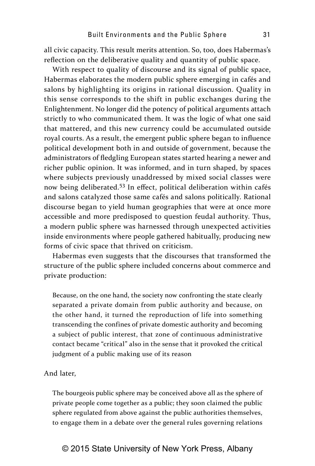all civic capacity. This result merits attention. So, too, does Habermas's reflection on the deliberative quality and quantity of public space.

With respect to quality of discourse and its signal of public space, Habermas elaborates the modern public sphere emerging in cafés and salons by highlighting its origins in rational discussion. Quality in this sense corresponds to the shift in public exchanges during the Enlightenment. No longer did the potency of political arguments attach strictly to who communicated them. It was the logic of what one said that mattered, and this new currency could be accumulated outside royal courts. As a result, the emergent public sphere began to influence political development both in and outside of government, because the administrators of fledgling European states started hearing a newer and richer public opinion. It was informed, and in turn shaped, by spaces where subjects previously unaddressed by mixed social classes were now being deliberated.<sup>53</sup> In effect, political deliberation within cafés and salons catalyzed those same cafés and salons politically. Rational discourse began to yield human geographies that were at once more accessible and more predisposed to question feudal authority. Thus, a modern public sphere was harnessed through unexpected activities inside environments where people gathered habitually, producing new forms of civic space that thrived on criticism.

Habermas even suggests that the discourses that transformed the structure of the public sphere included concerns about commerce and private production:

Because, on the one hand, the society now confronting the state clearly separated a private domain from public authority and because, on the other hand, it turned the reproduction of life into something transcending the confines of private domestic authority and becoming a subject of public interest, that zone of continuous administrative contact became "critical" also in the sense that it provoked the critical judgment of a public making use of its reason

### And later,

The bourgeois public sphere may be conceived above all as the sphere of private people come together as a public; they soon claimed the public sphere regulated from above against the public authorities themselves, to engage them in a debate over the general rules governing relations